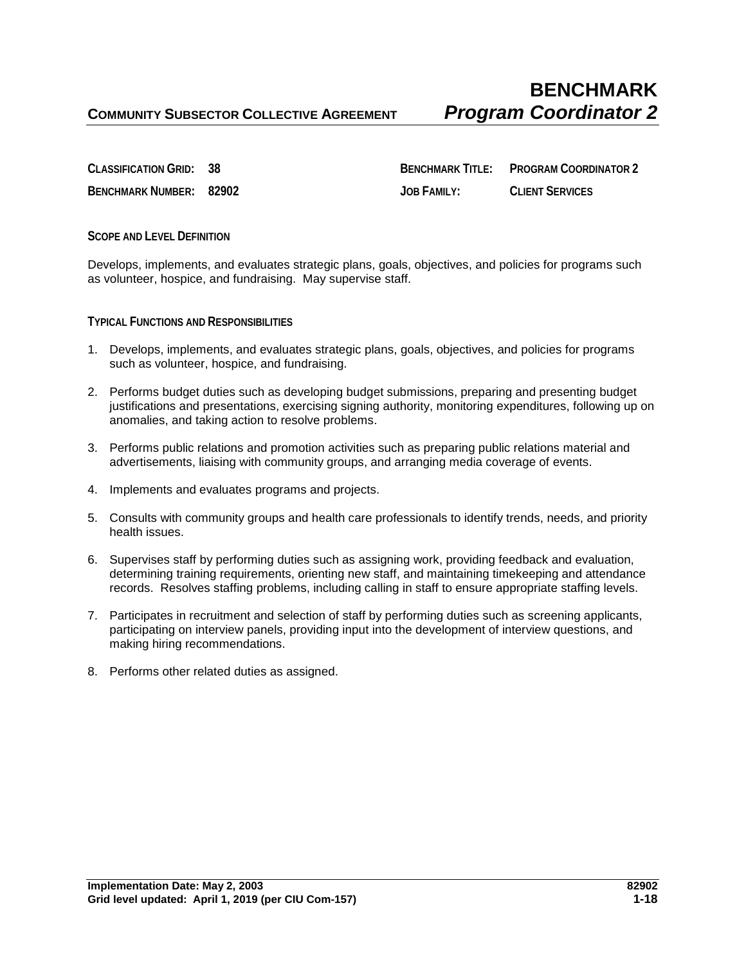**CLASSIFICATION GRID:** 38 **BENCHMARK TITLE: PROGRAM COORDINATOR 2 BENCHMARK NUMBER: 82902 JOB FAMILY: CLIENT SERVICES**

## **SCOPE AND LEVEL DEFINITION**

Develops, implements, and evaluates strategic plans, goals, objectives, and policies for programs such as volunteer, hospice, and fundraising. May supervise staff.

**TYPICAL FUNCTIONS AND RESPONSIBILITIES**

- 1. Develops, implements, and evaluates strategic plans, goals, objectives, and policies for programs such as volunteer, hospice, and fundraising.
- 2. Performs budget duties such as developing budget submissions, preparing and presenting budget justifications and presentations, exercising signing authority, monitoring expenditures, following up on anomalies, and taking action to resolve problems.
- 3. Performs public relations and promotion activities such as preparing public relations material and advertisements, liaising with community groups, and arranging media coverage of events.
- 4. Implements and evaluates programs and projects.
- 5. Consults with community groups and health care professionals to identify trends, needs, and priority health issues.
- 6. Supervises staff by performing duties such as assigning work, providing feedback and evaluation, determining training requirements, orienting new staff, and maintaining timekeeping and attendance records. Resolves staffing problems, including calling in staff to ensure appropriate staffing levels.
- 7. Participates in recruitment and selection of staff by performing duties such as screening applicants, participating on interview panels, providing input into the development of interview questions, and making hiring recommendations.
- 8. Performs other related duties as assigned.